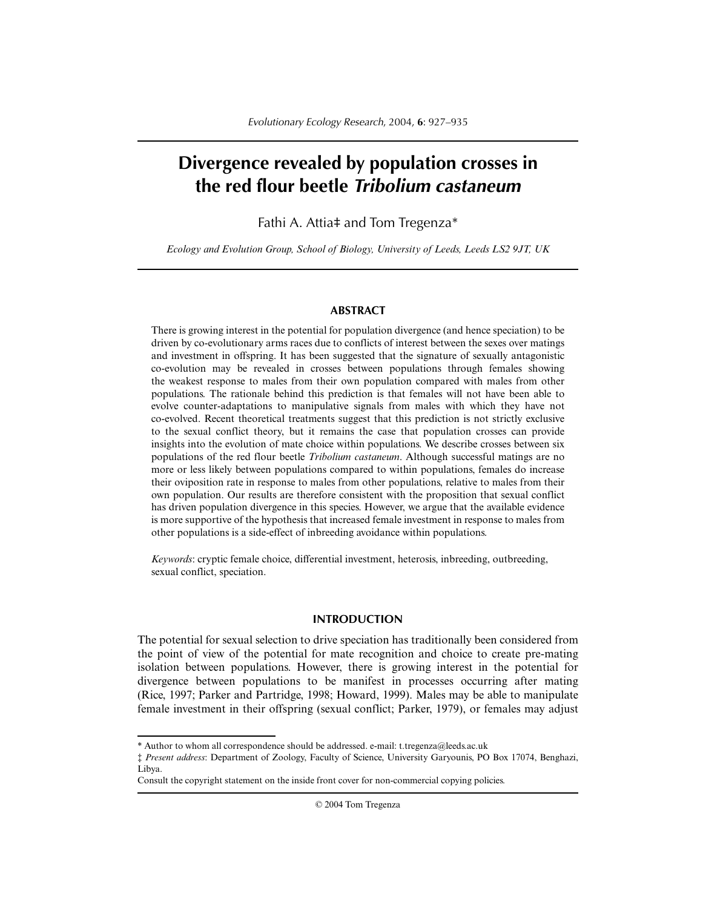# **Divergence revealed by population crosses in the red flour beetle** *Tribolium castaneum*

## Fathi A. Attia‡ and Tom Tregenza\*

*Ecology and Evolution Group, School of Biology, University of Leeds, Leeds LS2 9JT, UK*

## **ABSTRACT**

There is growing interest in the potential for population divergence (and hence speciation) to be driven by co-evolutionary arms races due to conflicts of interest between the sexes over matings and investment in offspring. It has been suggested that the signature of sexually antagonistic co-evolution may be revealed in crosses between populations through females showing the weakest response to males from their own population compared with males from other populations. The rationale behind this prediction is that females will not have been able to evolve counter-adaptations to manipulative signals from males with which they have not co-evolved. Recent theoretical treatments suggest that this prediction is not strictly exclusive to the sexual conflict theory, but it remains the case that population crosses can provide insights into the evolution of mate choice within populations. We describe crosses between six populations of the red flour beetle *Tribolium castaneum*. Although successful matings are no more or less likely between populations compared to within populations, females do increase their oviposition rate in response to males from other populations, relative to males from their own population. Our results are therefore consistent with the proposition that sexual conflict has driven population divergence in this species. However, we argue that the available evidence is more supportive of the hypothesis that increased female investment in response to males from other populations is a side-effect of inbreeding avoidance within populations.

*Keywords*: cryptic female choice, differential investment, heterosis, inbreeding, outbreeding, sexual conflict, speciation.

## **INTRODUCTION**

The potential for sexual selection to drive speciation has traditionally been considered from the point of view of the potential for mate recognition and choice to create pre-mating isolation between populations. However, there is growing interest in the potential for divergence between populations to be manifest in processes occurring after mating (Rice, 1997; Parker and Partridge, 1998; Howard, 1999). Males may be able to manipulate female investment in their offspring (sexual conflict; Parker, 1979), or females may adjust

© 2004 Tom Tregenza

<sup>\*</sup> Author to whom all correspondence should be addressed. e-mail: t.tregenza@leeds.ac.uk

<sup>‡</sup> *Present address*: Department of Zoology, Faculty of Science, University Garyounis, PO Box 17074, Benghazi, Libya.

Consult the copyright statement on the inside front cover for non-commercial copying policies.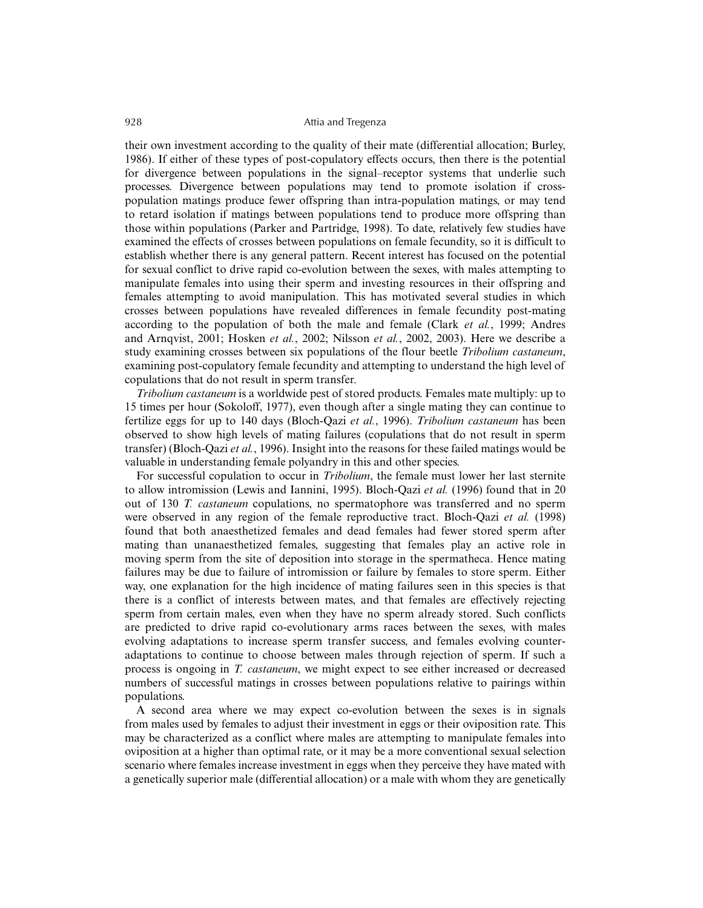their own investment according to the quality of their mate (differential allocation; Burley, 1986). If either of these types of post-copulatory effects occurs, then there is the potential for divergence between populations in the signal–receptor systems that underlie such processes. Divergence between populations may tend to promote isolation if crosspopulation matings produce fewer offspring than intra-population matings, or may tend to retard isolation if matings between populations tend to produce more offspring than those within populations (Parker and Partridge, 1998). To date, relatively few studies have examined the effects of crosses between populations on female fecundity, so it is difficult to establish whether there is any general pattern. Recent interest has focused on the potential for sexual conflict to drive rapid co-evolution between the sexes, with males attempting to manipulate females into using their sperm and investing resources in their offspring and females attempting to avoid manipulation. This has motivated several studies in which crosses between populations have revealed differences in female fecundity post-mating according to the population of both the male and female (Clark *et al.*, 1999; Andres and Arnqvist, 2001; Hosken *et al.*, 2002; Nilsson *et al.*, 2002, 2003). Here we describe a study examining crosses between six populations of the flour beetle *Tribolium castaneum*, examining post-copulatory female fecundity and attempting to understand the high level of copulations that do not result in sperm transfer.

*Tribolium castaneum* is a worldwide pest of stored products. Females mate multiply: up to 15 times per hour (Sokoloff, 1977), even though after a single mating they can continue to fertilize eggs for up to 140 days (Bloch-Qazi *et al.*, 1996). *Tribolium castaneum* has been observed to show high levels of mating failures (copulations that do not result in sperm transfer) (Bloch-Qazi *et al.*, 1996). Insight into the reasons for these failed matings would be valuable in understanding female polyandry in this and other species.

For successful copulation to occur in *Tribolium*, the female must lower her last sternite to allow intromission (Lewis and Iannini, 1995). Bloch-Qazi *et al.* (1996) found that in 20 out of 130 *T. castaneum* copulations, no spermatophore was transferred and no sperm were observed in any region of the female reproductive tract. Bloch-Qazi *et al.* (1998) found that both anaesthetized females and dead females had fewer stored sperm after mating than unanaesthetized females, suggesting that females play an active role in moving sperm from the site of deposition into storage in the spermatheca. Hence mating failures may be due to failure of intromission or failure by females to store sperm. Either way, one explanation for the high incidence of mating failures seen in this species is that there is a conflict of interests between mates, and that females are effectively rejecting sperm from certain males, even when they have no sperm already stored. Such conflicts are predicted to drive rapid co-evolutionary arms races between the sexes, with males evolving adaptations to increase sperm transfer success, and females evolving counteradaptations to continue to choose between males through rejection of sperm. If such a process is ongoing in *T. castaneum*, we might expect to see either increased or decreased numbers of successful matings in crosses between populations relative to pairings within populations.

A second area where we may expect co-evolution between the sexes is in signals from males used by females to adjust their investment in eggs or their oviposition rate. This may be characterized as a conflict where males are attempting to manipulate females into oviposition at a higher than optimal rate, or it may be a more conventional sexual selection scenario where females increase investment in eggs when they perceive they have mated with a genetically superior male (differential allocation) or a male with whom they are genetically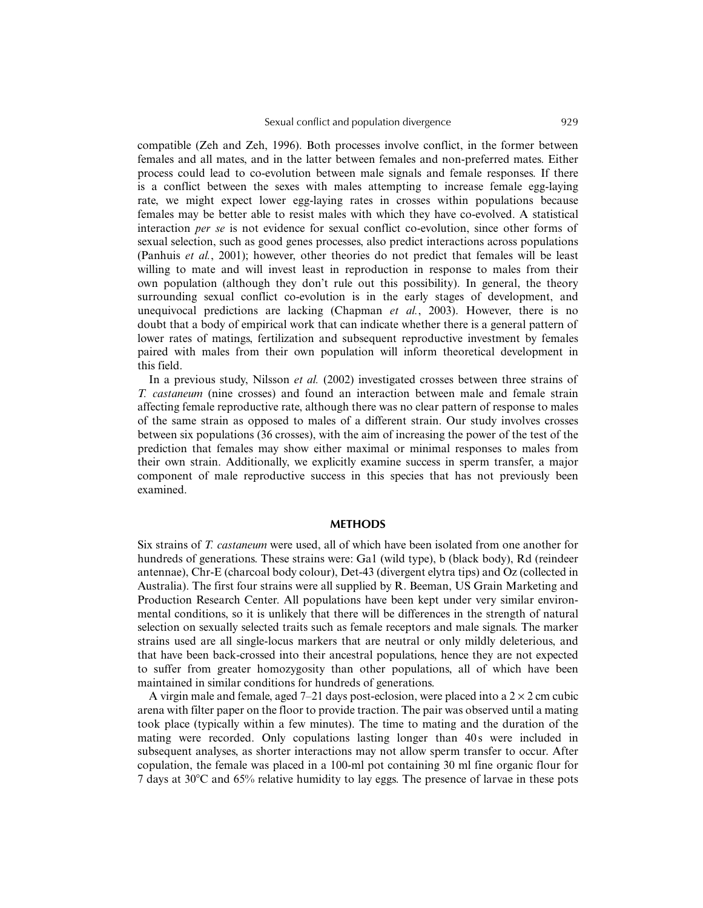compatible (Zeh and Zeh, 1996). Both processes involve conflict, in the former between females and all mates, and in the latter between females and non-preferred mates. Either process could lead to co-evolution between male signals and female responses. If there is a conflict between the sexes with males attempting to increase female egg-laying rate, we might expect lower egg-laying rates in crosses within populations because females may be better able to resist males with which they have co-evolved. A statistical interaction *per se* is not evidence for sexual conflict co-evolution, since other forms of sexual selection, such as good genes processes, also predict interactions across populations (Panhuis *et al.*, 2001); however, other theories do not predict that females will be least willing to mate and will invest least in reproduction in response to males from their own population (although they don't rule out this possibility). In general, the theory surrounding sexual conflict co-evolution is in the early stages of development, and unequivocal predictions are lacking (Chapman *et al.*, 2003). However, there is no doubt that a body of empirical work that can indicate whether there is a general pattern of lower rates of matings, fertilization and subsequent reproductive investment by females paired with males from their own population will inform theoretical development in this field.

In a previous study, Nilsson *et al.* (2002) investigated crosses between three strains of *T. castaneum* (nine crosses) and found an interaction between male and female strain affecting female reproductive rate, although there was no clear pattern of response to males of the same strain as opposed to males of a different strain. Our study involves crosses between six populations (36 crosses), with the aim of increasing the power of the test of the prediction that females may show either maximal or minimal responses to males from their own strain. Additionally, we explicitly examine success in sperm transfer, a major component of male reproductive success in this species that has not previously been examined.

## **METHODS**

Six strains of *T. castaneum* were used, all of which have been isolated from one another for hundreds of generations. These strains were: Ga1 (wild type), b (black body), Rd (reindeer antennae), Chr-E (charcoal body colour), Det-43 (divergent elytra tips) and Oz (collected in Australia). The first four strains were all supplied by R. Beeman, US Grain Marketing and Production Research Center. All populations have been kept under very similar environmental conditions, so it is unlikely that there will be differences in the strength of natural selection on sexually selected traits such as female receptors and male signals. The marker strains used are all single-locus markers that are neutral or only mildly deleterious, and that have been back-crossed into their ancestral populations, hence they are not expected to suffer from greater homozygosity than other populations, all of which have been maintained in similar conditions for hundreds of generations.

A virgin male and female, aged  $7-21$  days post-eclosion, were placed into a  $2 \times 2$  cm cubic arena with filter paper on the floor to provide traction. The pair was observed until a mating took place (typically within a few minutes). The time to mating and the duration of the mating were recorded. Only copulations lasting longer than 40s were included in subsequent analyses, as shorter interactions may not allow sperm transfer to occur. After copulation, the female was placed in a 100-ml pot containing 30 ml fine organic flour for 7 days at 30C and 65% relative humidity to lay eggs. The presence of larvae in these pots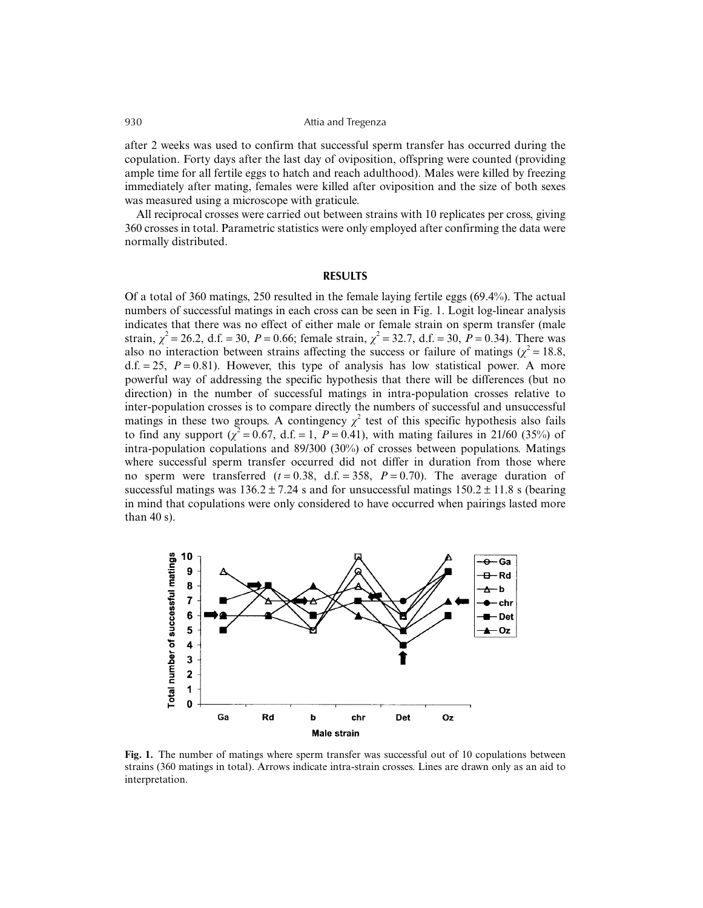after 2 weeks was used to confirm that successful sperm transfer has occurred during the copulation. Forty days after the last day of oviposition, offspring were counted (providing ample time for all fertile eggs to hatch and reach adulthood). Males were killed by freezing immediately after mating, females were killed after oviposition and the size of both sexes was measured using a microscope with graticule.

All reciprocal crosses were carried out between strains with 10 replicates per cross, giving 360 crosses in total. Parametric statistics were only employed after confirming the data were normally distributed.

## **RESULTS**

Of a total of 360 matings, 250 resulted in the female laying fertile eggs (69.4%). The actual numbers of successful matings in each cross can be seen in Fig. 1. Logit log-linear analysis indicates that there was no effect of either male or female strain on sperm transfer (male strain,  $\chi^2 = 26.2$ , d.f. = 30, *P* = 0.66; female strain,  $\chi^2 = 32.7$ , d.f. = 30, *P* = 0.34). There was also no interaction between strains affecting the success or failure of matings ( $\chi^2 = 18.8$ ,  $d.f. = 25$ ,  $P = 0.81$ ). However, this type of analysis has low statistical power. A more powerful way of addressing the specific hypothesis that there will be differences (but no direction) in the number of successful matings in intra-population crosses relative to inter-population crosses is to compare directly the numbers of successful and unsuccessful matings in these two groups. A contingency  $\chi^2$  test of this specific hypothesis also fails to find any support ( $\chi^2$  = 0.67, d.f. = 1, *P* = 0.41), with mating failures in 21/60 (35%) of intra-population copulations and 89/300 (30%) of crosses between populations. Matings where successful sperm transfer occurred did not differ in duration from those where no sperm were transferred  $(t = 0.38, d.f. = 358, P = 0.70)$ . The average duration of successful matings was  $136.2 \pm 7.24$  s and for unsuccessful matings  $150.2 \pm 11.8$  s (bearing in mind that copulations were only considered to have occurred when pairings lasted more than 40 s).



**Fig. 1.** The number of matings where sperm transfer was successful out of 10 copulations between strains (360 matings in total). Arrows indicate intra-strain crosses. Lines are drawn only as an aid to interpretation.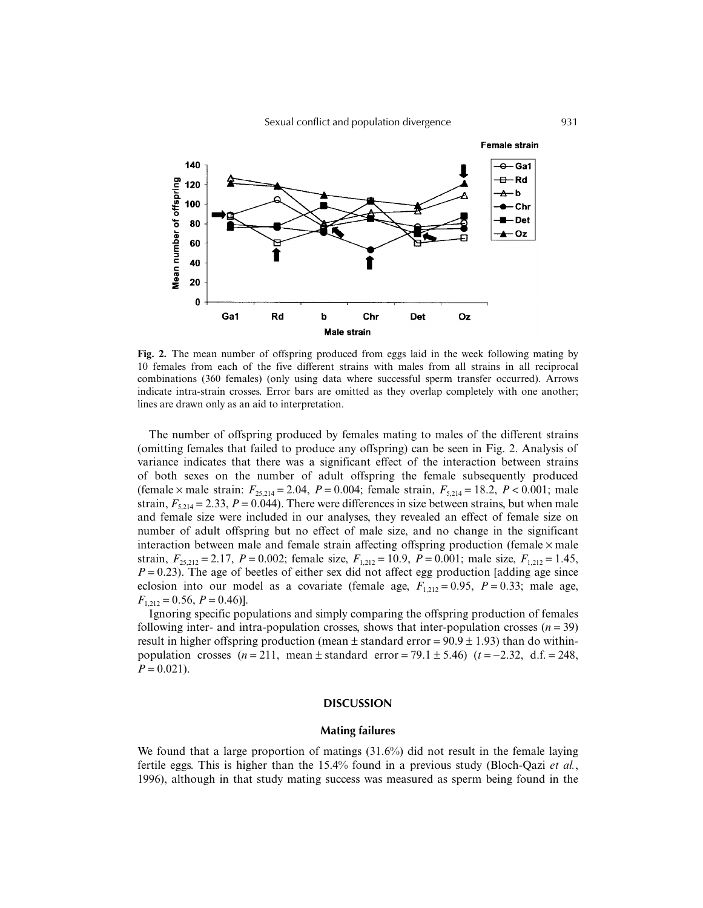

**Fig. 2.** The mean number of offspring produced from eggs laid in the week following mating by 10 females from each of the five different strains with males from all strains in all reciprocal combinations (360 females) (only using data where successful sperm transfer occurred). Arrows indicate intra-strain crosses. Error bars are omitted as they overlap completely with one another; lines are drawn only as an aid to interpretation.

The number of offspring produced by females mating to males of the different strains (omitting females that failed to produce any offspring) can be seen in Fig. 2. Analysis of variance indicates that there was a significant effect of the interaction between strains of both sexes on the number of adult offspring the female subsequently produced (female × male strain:  $F_{25,214} = 2.04$ ,  $P = 0.004$ ; female strain,  $F_{5,214} = 18.2$ ,  $P < 0.001$ ; male strain,  $F_{5,214} = 2.33$ ,  $P = 0.044$ ). There were differences in size between strains, but when male and female size were included in our analyses, they revealed an effect of female size on number of adult offspring but no effect of male size, and no change in the significant interaction between male and female strain affecting offspring production (female  $\times$  male strain,  $F_{25,212} = 2.17$ ,  $P = 0.002$ ; female size,  $F_{1,212} = 10.9$ ,  $P = 0.001$ ; male size,  $F_{1,212} = 1.45$ ,  $P = 0.23$ ). The age of beetles of either sex did not affect egg production [adding age since eclosion into our model as a covariate (female age,  $F_{1,212} = 0.95$ ,  $P = 0.33$ ; male age,  $F_{1,212} = 0.56, P = 0.46$ ].

Ignoring specific populations and simply comparing the offspring production of females following inter- and intra-population crosses, shows that inter-population crosses  $(n = 39)$ result in higher offspring production (mean  $\pm$  standard error = 90.9  $\pm$  1.93) than do withinpopulation crosses  $(n=211, \text{ mean } \pm \text{ standard error} = 79.1 \pm 5.46)$   $(t=-2.32, \text{ d.f.} = 248,$  $P = 0.021$ .

## **DISCUSSION**

#### **Mating failures**

We found that a large proportion of matings (31.6%) did not result in the female laying fertile eggs. This is higher than the 15.4% found in a previous study (Bloch-Qazi *et al.*, 1996), although in that study mating success was measured as sperm being found in the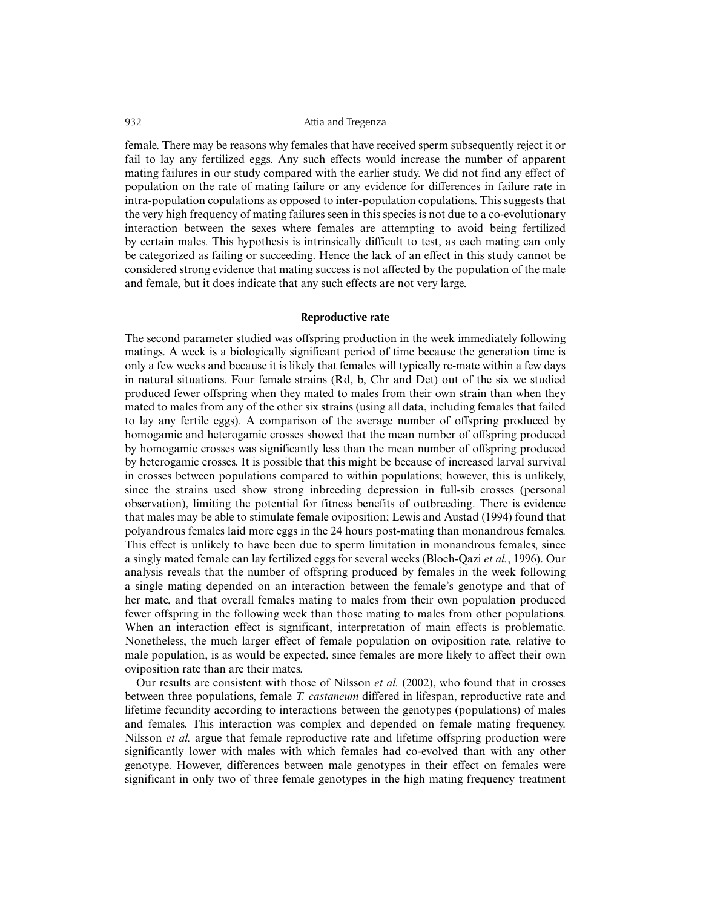female. There may be reasons why females that have received sperm subsequently reject it or fail to lay any fertilized eggs. Any such effects would increase the number of apparent mating failures in our study compared with the earlier study. We did not find any effect of population on the rate of mating failure or any evidence for differences in failure rate in intra-population copulations as opposed to inter-population copulations. This suggests that the very high frequency of mating failures seen in this species is not due to a co-evolutionary interaction between the sexes where females are attempting to avoid being fertilized by certain males. This hypothesis is intrinsically difficult to test, as each mating can only be categorized as failing or succeeding. Hence the lack of an effect in this study cannot be considered strong evidence that mating success is not affected by the population of the male and female, but it does indicate that any such effects are not very large.

#### **Reproductive rate**

The second parameter studied was offspring production in the week immediately following matings. A week is a biologically significant period of time because the generation time is only a few weeks and because it is likely that females will typically re-mate within a few days in natural situations. Four female strains (Rd, b, Chr and Det) out of the six we studied produced fewer offspring when they mated to males from their own strain than when they mated to males from any of the other six strains (using all data, including females that failed to lay any fertile eggs). A comparison of the average number of offspring produced by homogamic and heterogamic crosses showed that the mean number of offspring produced by homogamic crosses was significantly less than the mean number of offspring produced by heterogamic crosses. It is possible that this might be because of increased larval survival in crosses between populations compared to within populations; however, this is unlikely, since the strains used show strong inbreeding depression in full-sib crosses (personal observation), limiting the potential for fitness benefits of outbreeding. There is evidence that males may be able to stimulate female oviposition; Lewis and Austad (1994) found that polyandrous females laid more eggs in the 24 hours post-mating than monandrous females. This effect is unlikely to have been due to sperm limitation in monandrous females, since a singly mated female can lay fertilized eggs for several weeks (Bloch-Qazi *et al.*, 1996). Our analysis reveals that the number of offspring produced by females in the week following a single mating depended on an interaction between the female's genotype and that of her mate, and that overall females mating to males from their own population produced fewer offspring in the following week than those mating to males from other populations. When an interaction effect is significant, interpretation of main effects is problematic. Nonetheless, the much larger effect of female population on oviposition rate, relative to male population, is as would be expected, since females are more likely to affect their own oviposition rate than are their mates.

Our results are consistent with those of Nilsson *et al.* (2002), who found that in crosses between three populations, female *T. castaneum* differed in lifespan, reproductive rate and lifetime fecundity according to interactions between the genotypes (populations) of males and females. This interaction was complex and depended on female mating frequency. Nilsson *et al.* argue that female reproductive rate and lifetime offspring production were significantly lower with males with which females had co-evolved than with any other genotype. However, differences between male genotypes in their effect on females were significant in only two of three female genotypes in the high mating frequency treatment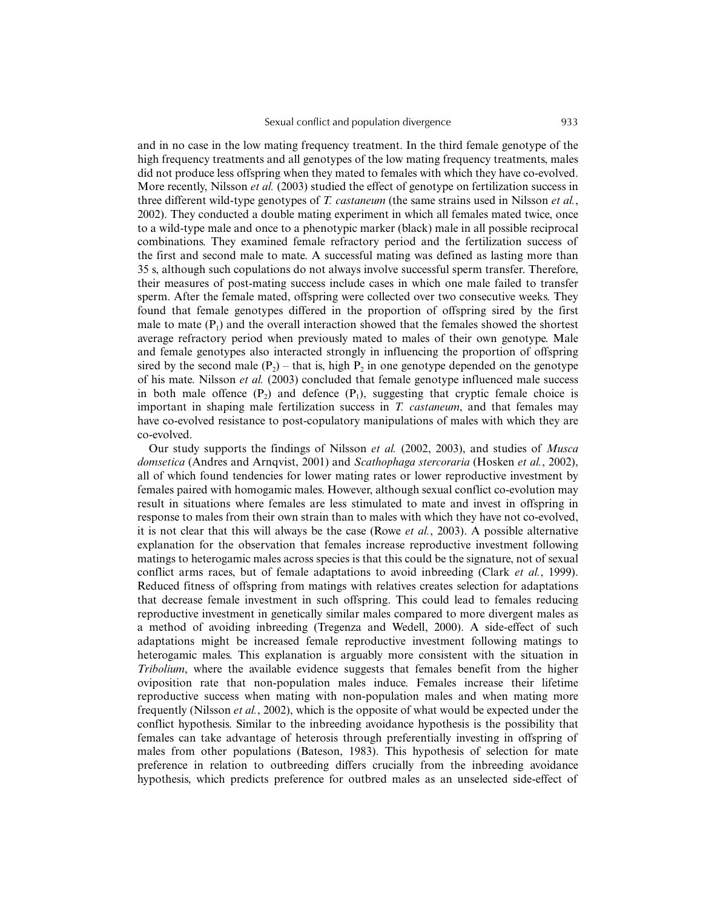and in no case in the low mating frequency treatment. In the third female genotype of the high frequency treatments and all genotypes of the low mating frequency treatments, males did not produce less offspring when they mated to females with which they have co-evolved. More recently, Nilsson *et al.* (2003) studied the effect of genotype on fertilization success in three different wild-type genotypes of *T. castaneum* (the same strains used in Nilsson *et al.*, 2002). They conducted a double mating experiment in which all females mated twice, once to a wild-type male and once to a phenotypic marker (black) male in all possible reciprocal combinations. They examined female refractory period and the fertilization success of the first and second male to mate. A successful mating was defined as lasting more than 35 s, although such copulations do not always involve successful sperm transfer. Therefore, their measures of post-mating success include cases in which one male failed to transfer sperm. After the female mated, offspring were collected over two consecutive weeks. They found that female genotypes differed in the proportion of offspring sired by the first male to mate  $(P_1)$  and the overall interaction showed that the females showed the shortest average refractory period when previously mated to males of their own genotype. Male and female genotypes also interacted strongly in influencing the proportion of offspring sired by the second male  $(P_2)$  – that is, high P<sub>2</sub> in one genotype depended on the genotype of his mate. Nilsson *et al.* (2003) concluded that female genotype influenced male success in both male offence  $(P_2)$  and defence  $(P_1)$ , suggesting that cryptic female choice is important in shaping male fertilization success in *T. castaneum*, and that females may have co-evolved resistance to post-copulatory manipulations of males with which they are co-evolved.

Our study supports the findings of Nilsson *et al.* (2002, 2003), and studies of *Musca domsetica* (Andres and Arnqvist, 2001) and *Scathophaga stercoraria* (Hosken *et al.*, 2002), all of which found tendencies for lower mating rates or lower reproductive investment by females paired with homogamic males. However, although sexual conflict co-evolution may result in situations where females are less stimulated to mate and invest in offspring in response to males from their own strain than to males with which they have not co-evolved, it is not clear that this will always be the case (Rowe *et al.*, 2003). A possible alternative explanation for the observation that females increase reproductive investment following matings to heterogamic males across species is that this could be the signature, not of sexual conflict arms races, but of female adaptations to avoid inbreeding (Clark *et al.*, 1999). Reduced fitness of offspring from matings with relatives creates selection for adaptations that decrease female investment in such offspring. This could lead to females reducing reproductive investment in genetically similar males compared to more divergent males as a method of avoiding inbreeding (Tregenza and Wedell, 2000). A side-effect of such adaptations might be increased female reproductive investment following matings to heterogamic males. This explanation is arguably more consistent with the situation in *Tribolium*, where the available evidence suggests that females benefit from the higher oviposition rate that non-population males induce. Females increase their lifetime reproductive success when mating with non-population males and when mating more frequently (Nilsson *et al.*, 2002), which is the opposite of what would be expected under the conflict hypothesis. Similar to the inbreeding avoidance hypothesis is the possibility that females can take advantage of heterosis through preferentially investing in offspring of males from other populations (Bateson, 1983). This hypothesis of selection for mate preference in relation to outbreeding differs crucially from the inbreeding avoidance hypothesis, which predicts preference for outbred males as an unselected side-effect of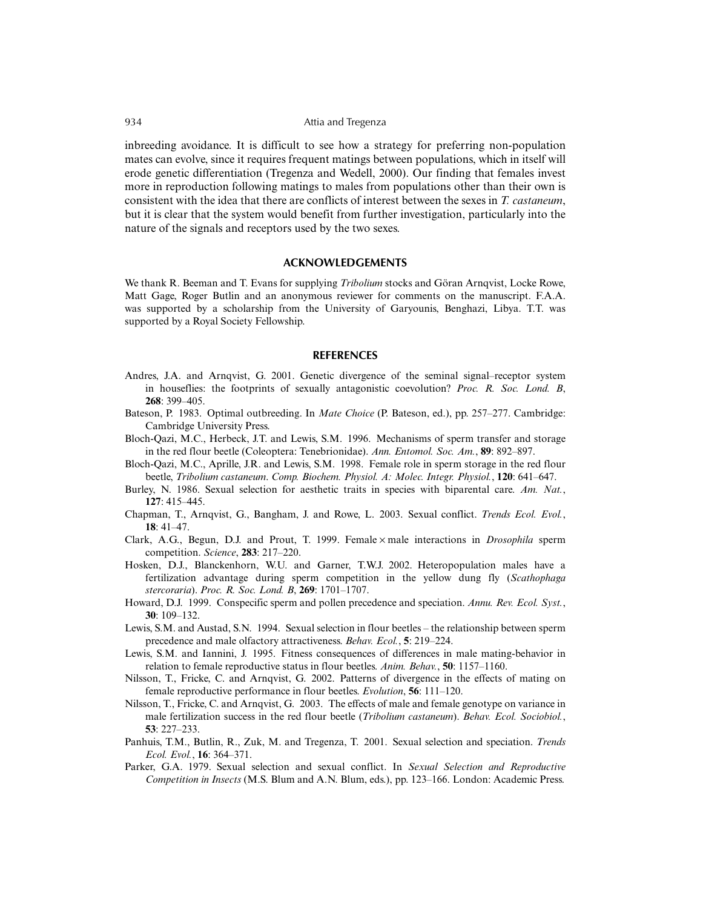inbreeding avoidance. It is difficult to see how a strategy for preferring non-population mates can evolve, since it requires frequent matings between populations, which in itself will erode genetic differentiation (Tregenza and Wedell, 2000). Our finding that females invest more in reproduction following matings to males from populations other than their own is consistent with the idea that there are conflicts of interest between the sexes in *T. castaneum*, but it is clear that the system would benefit from further investigation, particularly into the nature of the signals and receptors used by the two sexes.

## **ACKNOWLEDGEMENTS**

We thank R. Beeman and T. Evans for supplying *Tribolium* stocks and Göran Arnqvist, Locke Rowe, Matt Gage, Roger Butlin and an anonymous reviewer for comments on the manuscript. F.A.A. was supported by a scholarship from the University of Garyounis, Benghazi, Libya. T.T. was supported by a Royal Society Fellowship.

#### **REFERENCES**

- Andres, J.A. and Arnqvist, G. 2001. Genetic divergence of the seminal signal–receptor system in houseflies: the footprints of sexually antagonistic coevolution? *Proc. R. Soc. Lond. B*, **268**: 399–405.
- Bateson, P. 1983. Optimal outbreeding. In *Mate Choice* (P. Bateson, ed.), pp. 257–277. Cambridge: Cambridge University Press.
- Bloch-Qazi, M.C., Herbeck, J.T. and Lewis, S.M. 1996. Mechanisms of sperm transfer and storage in the red flour beetle (Coleoptera: Tenebrionidae). *Ann. Entomol. Soc. Am.*, **89**: 892–897.
- Bloch-Qazi, M.C., Aprille, J.R. and Lewis, S.M. 1998. Female role in sperm storage in the red flour beetle, *Tribolium castaneum*. *Comp. Biochem. Physiol. A: Molec. Integr. Physiol.*, **120**: 641–647.
- Burley, N. 1986. Sexual selection for aesthetic traits in species with biparental care. *Am. Nat.*, **127**: 415–445.
- Chapman, T., Arnqvist, G., Bangham, J. and Rowe, L. 2003. Sexual conflict. *Trends Ecol. Evol.*, **18**: 41–47.
- Clark, A.G., Begun, D.J. and Prout, T. 1999. Female × male interactions in *Drosophila* sperm competition. *Science*, **283**: 217–220.
- Hosken, D.J., Blanckenhorn, W.U. and Garner, T.W.J. 2002. Heteropopulation males have a fertilization advantage during sperm competition in the yellow dung fly (*Scathophaga stercoraria*). *Proc. R. Soc. Lond. B*, **269**: 1701–1707.
- Howard, D.J. 1999. Conspecific sperm and pollen precedence and speciation. *Annu. Rev. Ecol. Syst.*, **30**: 109–132.
- Lewis, S.M. and Austad, S.N. 1994. Sexual selection in flour beetles the relationship between sperm precedence and male olfactory attractiveness. *Behav. Ecol.*, **5**: 219–224.
- Lewis, S.M. and Iannini, J. 1995. Fitness consequences of differences in male mating-behavior in relation to female reproductive status in flour beetles. *Anim. Behav.*, **50**: 1157–1160.
- Nilsson, T., Fricke, C. and Arnqvist, G. 2002. Patterns of divergence in the effects of mating on female reproductive performance in flour beetles. *Evolution*, **56**: 111–120.
- Nilsson, T., Fricke, C. and Arnqvist, G. 2003. The effects of male and female genotype on variance in male fertilization success in the red flour beetle (*Tribolium castaneum*). *Behav. Ecol. Sociobiol.*, **53**: 227–233.
- Panhuis, T.M., Butlin, R., Zuk, M. and Tregenza, T. 2001. Sexual selection and speciation. *Trends Ecol. Evol.*, **16**: 364–371.
- Parker, G.A. 1979. Sexual selection and sexual conflict. In *Sexual Selection and Reproductive Competition in Insects* (M.S. Blum and A.N. Blum, eds.), pp. 123–166. London: Academic Press.